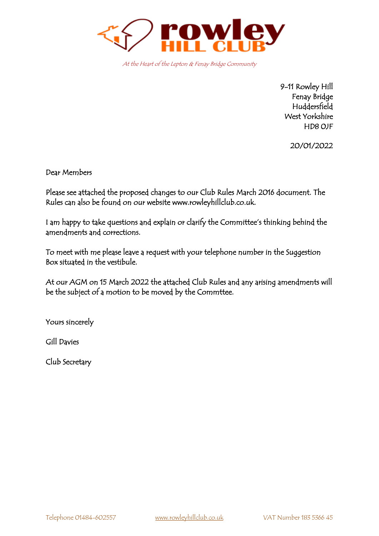

At the Heart of the Lepton & Fenay Bridge Community

9-11 Rowley Hill Fenay Bridge Huddersfield West Yorkshire HD8 0JF

20/01/2022

Dear Members

Please see attached the proposed changes to our Club Rules March 2016 document. The Rules can also be found on our website www.rowleyhillclub.co.uk.

I am happy to take questions and explain or clarify the Committee's thinking behind the amendments and corrections.

To meet with me please leave a request with your telephone number in the Suggestion Box situated in the vestibule.

At our AGM on 15 March 2022 the attached Club Rules and any arising amendments will be the subject of a motion to be moved by the Commttee.

Yours sincerely

Gill Davies

Club Secretary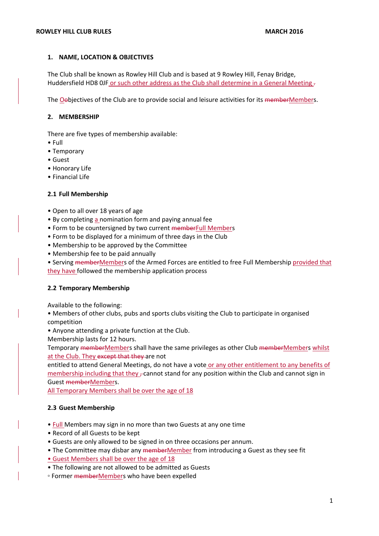### **1. NAME, LOCATION & OBJECTIVES**

The Club shall be known as Rowley Hill Club and is based at 9 Rowley Hill, Fenay Bridge, Huddersfield HD8 0JF or such other address as the Club shall determine in a General Meeting .

The Oobjectives of the Club are to provide social and leisure activities for its memberMembers.

### **2. MEMBERSHIP**

There are five types of membership available:

- Full
- Temporary
- Guest
- Honorary Life
- Financial Life

### **2.1 Full Membership**

- Open to all over 18 years of age
- By completing a nomination form and paying annual fee
- Form to be countersigned by two current memberFull Members
- Form to be displayed for a minimum of three days in the Club
- Membership to be approved by the Committee
- Membership fee to be paid annually

• Serving memberMembers of the Armed Forces are entitled to free Full Membership provided that they have followed the membership application process

### **2.2 Temporary Membership**

Available to the following:

• Members of other clubs, pubs and sports clubs visiting the Club to participate in organised competition

• Anyone attending a private function at the Club.

Membership lasts for 12 hours.

Temporary memberMembers shall have the same privileges as other Club memberMembers whilst at the Club. They except that they are not

entitled to attend General Meetings, do not have a vote or any other entitlement to any benefits of membership including that they  $\tau$  cannot stand for any position within the Club and cannot sign in Guest memberMembers.

All Temporary Members shall be over the age of 18

### **2.3 Guest Membership**

- **Full** Members may sign in no more than two Guests at any one time
- Record of all Guests to be kept
- Guests are only allowed to be signed in on three occasions per annum.
- The Committee may disbar any memberMember from introducing a Guest as they see fit
- Guest Members shall be over the age of 18
- The following are not allowed to be admitted as Guests
- Former memberMembers who have been expelled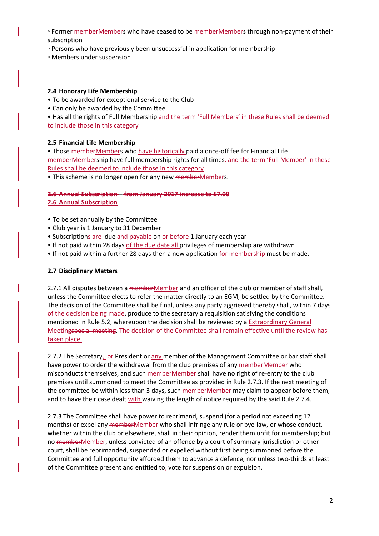- Former memberMembers who have ceased to be memberMembers through non-payment of their subscription
- Persons who have previously been unsuccessful in application for membership
- Members under suspension

# **2.4 Honorary Life Membership**

• To be awarded for exceptional service to the Club

• Can only be awarded by the Committee

• Has all the rights of Full Membership and the term 'Full Members' in these Rules shall be deemed to include those in this category

# **2.5 Financial Life Membership**

• Those memberMembers who have historically paid a once-off fee for Financial Life memberMembership have full membership rights for all times. and the term 'Full Member' in these Rules shall be deemed to include those in this category

• This scheme is no longer open for any new memberMembers.

### **2.6 Annual Subscription – from January 2017 increase to £7.00 2.6 Annual Subscription**

- To be set annually by the Committee
- Club year is 1 January to 31 December
- Subscriptions are due and payable on or before 1 January each year
- If not paid within 28 days of the due date all privileges of membership are withdrawn
- If not paid within a further 28 days then a new application for membership must be made.

### **2.7 Disciplinary Matters**

2.7.1 All disputes between a memberMember and an officer of the club or member of staff shall, unless the Committee elects to refer the matter directly to an EGM, be settled by the Committee. The decision of the Committee shall be final, unless any party aggrieved thereby shall, within 7 days of the decision being made, produce to the secretary a requisition satisfying the conditions mentioned in Rule 5.2, whereupon the decision shall be reviewed by a Extraordinary General Meetingspecial meeting. The decision of the Committee shall remain effective until the review has taken place.

2.7.2 The Secretary, -or-President or any member of the Management Committee or bar staff shall have power to order the withdrawal from the club premises of any memberMember who misconducts themselves, and such memberMember shall have no right of re-entry to the club premises until summoned to meet the Committee as provided in Rule 2.7.3. If the next meeting of the committee be within less than 3 days, such memberMember may claim to appear before them, and to have their case dealt with waiving the length of notice required by the said Rule 2.7.4.

2.7.3 The Committee shall have power to reprimand, suspend (for a period not exceeding 12 months) or expel any memberMember who shall infringe any rule or bye-law, or whose conduct, whether within the club or elsewhere, shall in their opinion, render them unfit for membership; but no memberMember, unless convicted of an offence by a court of summary jurisdiction or other court, shall be reprimanded, suspended or expelled without first being summoned before the Committee and full opportunity afforded them to advance a defence, nor unless two-thirds at least of the Committee present and entitled to, vote for suspension or expulsion.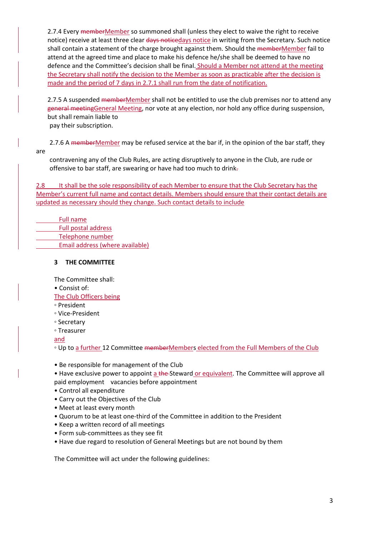2.7.4 Every memberMember so summoned shall (unless they elect to waive the right to receive notice) receive at least three clear days noticedays notice in writing from the Secretary. Such notice shall contain a statement of the charge brought against them. Should the memberMember fail to attend at the agreed time and place to make his defence he/she shall be deemed to have no defence and the Committee's decision shall be final. Should a Member not attend at the meeting the Secretary shall notify the decision to the Member as soon as practicable after the decision is made and the period of 7 days in 2.7.1 shall run from the date of notification.

2.7.5 A suspended memberMember shall not be entitled to use the club premises nor to attend any general meetingGeneral Meeting, nor vote at any election, nor hold any office during suspension, but shall remain liable to pay their subscription.

2.7.6 A memberMember may be refused service at the bar if, in the opinion of the bar staff, they are

contravening any of the Club Rules, are acting disruptively to anyone in the Club, are rude or offensive to bar staff, are swearing or have had too much to drink.

2.8 It shall be the sole responsibility of each Member to ensure that the Club Secretary has the Member's current full name and contact details. Members should ensure that their contact details are updated as necessary should they change. Such contact details to include

| <b>Full name</b>                |
|---------------------------------|
| Full postal address             |
| Telephone number                |
| Email address (where available) |

# **3 THE COMMITTEE**

The Committee shall:

• Consist of:

The Club Officers being

◦ President

- Vice-President
- Secretary
- Treasurer

and

◦ Up to a further 12 Committee memberMembers elected from the Full Members of the Club

- Be responsible for management of the Club
- Have exclusive power to appoint a the Steward or equivalent. The Committee will approve all paid employment vacancies before appointment
- Control all expenditure
- Carry out the Objectives of the Club
- Meet at least every month
- Quorum to be at least one-third of the Committee in addition to the President
- Keep a written record of all meetings
- Form sub-committees as they see fit
- Have due regard to resolution of General Meetings but are not bound by them

The Committee will act under the following guidelines: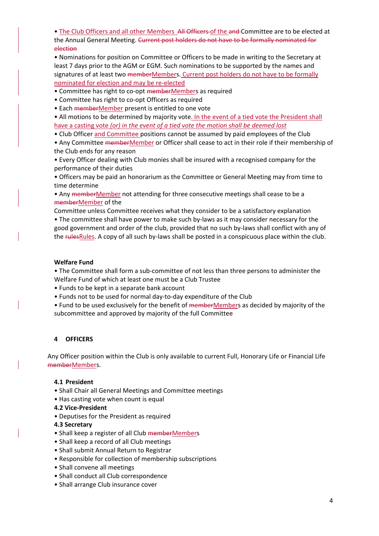• The Club Officers and all other Members All Officers of the and Committee are to be elected at the Annual General Meeting. Current post holders do not have to be formally nominated for election

• Nominations for position on Committee or Officers to be made in writing to the Secretary at least 7 days prior to the AGM or EGM. Such nominations to be supported by the names and signatures of at least two memberMembers. Current post holders do not have to be formally nominated for election and may be re-elected

• Committee has right to co-opt memberMembers as required

- Committee has right to co-opt Officers as required
- Each memberMember present is entitled to one vote

• All motions to be determined by majority vote. In the event of a tied vote the President shall have a casting vote *(or) in the event of a tied vote the motion shall be deemed lost*

• Club Officer and Committee positions cannot be assumed by paid employees of the Club

• Any Committee memberMember or Officer shall cease to act in their role if their membership of the Club ends for any reason

• Every Officer dealing with Club monies shall be insured with a recognised company for the performance of their duties

• Officers may be paid an honorarium as the Committee or General Meeting may from time to time determine

• Any memberMember not attending for three consecutive meetings shall cease to be a memberMember of the

Committee unless Committee receives what they consider to be a satisfactory explanation • The committee shall have power to make such by-laws as it may consider necessary for the good government and order of the club, provided that no such by-laws shall conflict with any of the rulesRules. A copy of all such by-laws shall be posted in a conspicuous place within the club.

# **Welfare Fund**

• The Committee shall form a sub-committee of not less than three persons to administer the Welfare Fund of which at least one must be a Club Trustee

- Funds to be kept in a separate bank account
- Funds not to be used for normal day-to-day expenditure of the Club
- Fund to be used exclusively for the benefit of memberMembers as decided by majority of the subcommittee and approved by majority of the full Committee

# **4 OFFICERS**

Any Officer position within the Club is only available to current Full, Honorary Life or Financial Life memberMembers.

### **4.1 President**

- Shall Chair all General Meetings and Committee meetings
- Has casting vote when count is equal
- **4.2 Vice-President**
- Deputises for the President as required

### **4.3 Secretary**

- Shall keep a register of all Club memberMembers
- Shall keep a record of all Club meetings
- Shall submit Annual Return to Registrar
- Responsible for collection of membership subscriptions
- Shall convene all meetings
- Shall conduct all Club correspondence
- Shall arrange Club insurance cover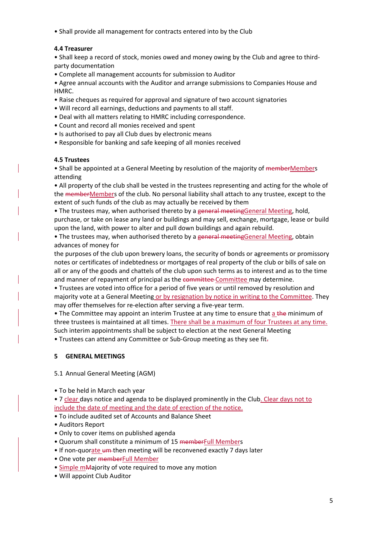• Shall provide all management for contracts entered into by the Club

# **4.4 Treasurer**

• Shall keep a record of stock, monies owed and money owing by the Club and agree to thirdparty documentation

• Complete all management accounts for submission to Auditor

• Agree annual accounts with the Auditor and arrange submissions to Companies House and HMRC.

- Raise cheques as required for approval and signature of two account signatories
- Will record all earnings, deductions and payments to all staff.
- Deal with all matters relating to HMRC including correspondence.
- Count and record all monies received and spent
- Is authorised to pay all Club dues by electronic means
- Responsible for banking and safe keeping of all monies received

# **4.5 Trustees**

• Shall be appointed at a General Meeting by resolution of the majority of memberMembers attending

• All property of the club shall be vested in the trustees representing and acting for the whole of the memberMembers of the club. No personal liability shall attach to any trustee, except to the extent of such funds of the club as may actually be received by them

• The trustees may, when authorised thereto by a general meetingGeneral Meeting, hold, purchase, or take on lease any land or buildings and may sell, exchange, mortgage, lease or build upon the land, with power to alter and pull down buildings and again rebuild.

• The trustees may, when authorised thereto by a general meetingGeneral Meeting, obtain advances of money for

the purposes of the club upon brewery loans, the security of bonds or agreements or promissory notes or certificates of indebtedness or mortgages of real property of the club or bills of sale on all or any of the goods and chattels of the club upon such terms as to interest and as to the time and manner of repayment of principal as the committee-Committee may determine.

• Trustees are voted into office for a period of five years or until removed by resolution and majority vote at a General Meeting or by resignation by notice in writing to the Committee. They may offer themselves for re-election after serving a five-year term.

• The Committee may appoint an interim Trustee at any time to ensure that a the minimum of three trustees is maintained at all times. There shall be a maximum of four Trustees at any time. Such interim appointments shall be subject to election at the next General Meeting

• Trustees can attend any Committee or Sub-Group meeting as they see fit.

# **5 GENERAL MEETINGS**

### 5.1 Annual General Meeting (AGM)

• To be held in March each year

• 7 clear days notice and agenda to be displayed prominently in the Club. Clear days not to include the date of meeting and the date of erection of the notice.

- To include audited set of Accounts and Balance Sheet
- Auditors Report
- Only to cover items on published agenda
- Quorum shall constitute a minimum of 15 memberFull Members
- If non-quorate um-then meeting will be reconvened exactly 7 days later
- One vote per memberFull Member
- Simple mMajority of vote required to move any motion
- Will appoint Club Auditor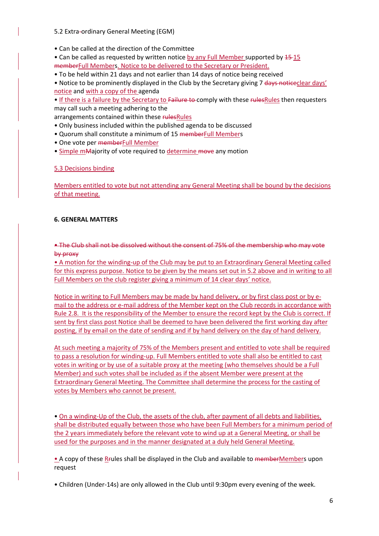### 5.2 Extra-ordinary General Meeting (EGM)

- Can be called at the direction of the Committee
- Can be called as requested by written notice by any Full Member supported by  $15-15$ memberFull Members. Notice to be delivered to the Secretary or President.
- To be held within 21 days and not earlier than 14 days of notice being received
- Notice to be prominently displayed in the Club by the Secretary giving 7 days noticeclear days' notice and with a copy of the agenda
- If there is a failure by the Secretary to Failure to comply with these rules Rules then requesters may call such a meeting adhering to the

arrangements contained within these rulesRules

- Only business included within the published agenda to be discussed
- Quorum shall constitute a minimum of 15 memberFull Members
- One vote per memberFull Member
- Simple mMajority of vote required to determine move any motion

#### 5.3 Decisions binding

Members entitled to vote but not attending any General Meeting shall be bound by the decisions of that meeting.

#### **6. GENERAL MATTERS**

• The Club shall not be dissolved without the consent of 75% of the membership who may vote by proxy

• A motion for the winding-up of the Club may be put to an Extraordinary General Meeting called for this express purpose. Notice to be given by the means set out in 5.2 above and in writing to all Full Members on the club register giving a minimum of 14 clear days' notice.

Notice in writing to Full Members may be made by hand delivery, or by first class post or by email to the address or e-mail address of the Member kept on the Club records in accordance with Rule 2.8. It is the responsibility of the Member to ensure the record kept by the Club is correct. If sent by first class post Notice shall be deemed to have been delivered the first working day after posting, if by email on the date of sending and if by hand delivery on the day of hand delivery.

At such meeting a majority of 75% of the Members present and entitled to vote shall be required to pass a resolution for winding-up. Full Members entitled to vote shall also be entitled to cast votes in writing or by use of a suitable proxy at the meeting (who themselves should be a Full Member) and such votes shall be included as if the absent Member were present at the Extraordinary General Meeting. The Committee shall determine the process for the casting of votes by Members who cannot be present.

• On a winding-Up of the Club, the assets of the club, after payment of all debts and liabilities, shall be distributed equally between those who have been Full Members for a minimum period of the 2 years immediately before the relevant vote to wind up at a General Meeting, or shall be used for the purposes and in the manner designated at a duly held General Meeting.

• A copy of these Rrules shall be displayed in the Club and available to memberMembers upon request

• Children (Under-14s) are only allowed in the Club until 9:30pm every evening of the week.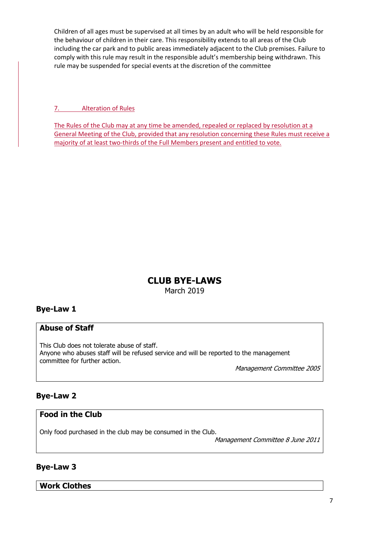Children of all ages must be supervised at all times by an adult who will be held responsible for the behaviour of children in their care. This responsibility extends to all areas of the Club including the car park and to public areas immediately adjacent to the Club premises. Failure to comply with this rule may result in the responsible adult's membership being withdrawn. This rule may be suspended for special events at the discretion of the committee

7. Alteration of Rules

The Rules of the Club may at any time be amended, repealed or replaced by resolution at a General Meeting of the Club, provided that any resolution concerning these Rules must receive a majority of at least two-thirds of the Full Members present and entitled to vote.

# **CLUB BYE-LAWS**

March 2019

# **Bye-Law 1**

# **Abuse of Staff**

This Club does not tolerate abuse of staff. Anyone who abuses staff will be refused service and will be reported to the management committee for further action.

Management Committee 2005

# **Bye-Law 2**

# **Food in the Club**

Only food purchased in the club may be consumed in the Club.

Management Committee 8 June 2011

# **Bye-Law 3**

**Work Clothes**